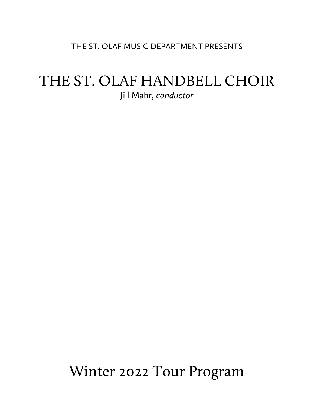#### THE ST. OLAF MUSIC DEPARTMENT PRESENTS

## THE ST. OLAF HANDBELL CHOIR Jill Mahr, *conductor*

# Winter 2022 Tour Program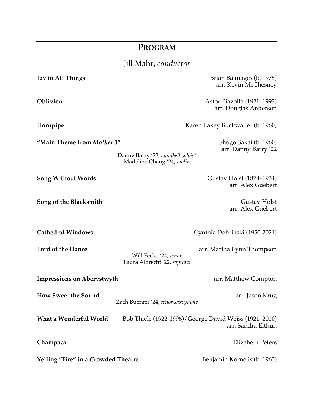### **PROGRAM**

## Jill Mahr, *conductor*

| Joy in All Things                   |                                                                 | Brian Balmages (b. 1975)<br>arr. Kevin McChesney                            |
|-------------------------------------|-----------------------------------------------------------------|-----------------------------------------------------------------------------|
| Oblivion                            |                                                                 | Astor Piazolla (1921-1992)<br>arr. Douglas Anderson                         |
| Hornpipe                            |                                                                 | Karen Lakey Buckwalter (b. 1960)                                            |
| "Main Theme from Mother 3"          | Danny Barry '22, handbell soloist<br>Madeline Chang '24, violin | Shogo Sakai (b. 1960)<br>arr. Danny Barry '22                               |
| <b>Song Without Words</b>           |                                                                 | Gustav Holst (1874–1934)<br>arr. Alex Guebert                               |
| Song of the Blacksmith              |                                                                 | <b>Gustav Holst</b><br>arr. Alex Guebert                                    |
| <b>Cathedral Windows</b>            |                                                                 | Cynthia Dobrinski (1950-2021)                                               |
| Lord of the Dance                   | Will Fecko '24, tenor<br>Laura Albrecht '22, soprano            | arr. Martha Lynn Thompson                                                   |
| <b>Impressions on Aberystwyth</b>   |                                                                 | arr. Matthew Compton                                                        |
| <b>How Sweet the Sound</b>          | Zach Buerger '24, tenor saxophone                               | arr. Jason Krug                                                             |
| What a Wonderful World              |                                                                 | Bob Thiele (1922-1996)/George David Weiss (1921–2010)<br>arr. Sandra Eithun |
| Champaca                            |                                                                 | <b>Elizabeth Peters</b>                                                     |
| Yelling "Fire" in a Crowded Theatre |                                                                 | Benjamin Kornelis (b. 1963)                                                 |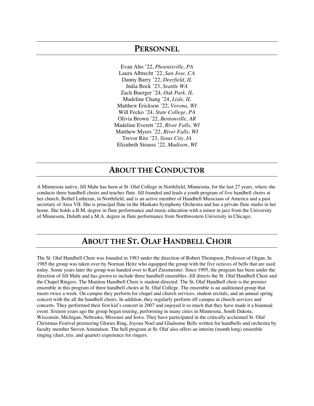#### **PERSONNEL**

Evan Aho '22, *Phoenixville, PA* Laura Albrecht '22, *San Jose, CA* Danny Barry '22, *Deerfield, IL* India Bock '23, *Seattle WA* Zach Buerger '24, *Oak Park, IL* Madeline Chang '24, *Lisle, IL* Matthew Erickson '22, *Verona, WI* Will Fecko '24, *State College, PA* Olivia Brown '22, *Bentonville, AR* Madeline Everett '22, *River Falls, WI* Matthew Myers '22, *River Falls, WI* Trevor Ritz '23, *Sioux City, IA* Elizabeth Strauss '22, *Madison, WI*

#### **ABOUT THE CONDUCTOR**

A Minnesota native, Jill Mahr has been at St. Olaf College in Northfield, Minnesota, for the last 27 years, where she conducts three handbell choirs and teaches flute. Jill founded and leads a youth program of five handbell choirs at her church, Bethel Lutheran, in Northfield, and is an active member of Handbell Musicians of America and a past secretary of Area VII. She is principal flute in the Mankato Symphony Orchestra and has a private flute studio in her home. She holds a B.M. degree in flute performance and music education with a minor in jazz from the University of Minnesota, Duluth and a M.A. degree in flute performance from Northwestern University in Chicago.

#### **ABOUT THE ST. OLAF HANDBELL CHOIR**

The St. Olaf Handbell Choir was founded in 1983 under the direction of Robert Thompson, Professor of Organ. In 1985 the group was taken over by Norman Heitz who equipped the group with the five octaves of bells that are used today. Some years later the group was handed over to Karl Zinsmeister. Since 1995, the program has been under the direction of Jill Mahr and has grown to include three handbell ensembles. Jill directs the St. Olaf Handbell Choir and the Chapel Ringers. The Manitou Handbell Choir is student-directed. The St. Olaf Handbell choir is the premier ensemble in this program of three handbell choirs at St. Olaf College. The ensemble is an auditioned group that meets twice a week. On campus they perform for chapel and church services, student recitals, and an annual spring concert with the all the handbell choirs. In addition, they regularly perform off campus at church services and concerts. They performed their first kid's concert in 2007 and enjoyed it so much that they have made it a biannual event. Sixteen years ago the group began touring, performing in many cities in Minnesota, South Dakota, Wisconsin, Michigan, Nebraska, Missouri and Iowa. They have participated in the critically acclaimed St. Olaf Christmas Festival premiering Glories Ring, Joyous Noel and Gladsome Bells written for handbells and orchestra by faculty member Steven Amundson. The bell program at St. Olaf also offers an interim (month long) ensemble ringing (duet, trio, and quartet) experience for ringers.